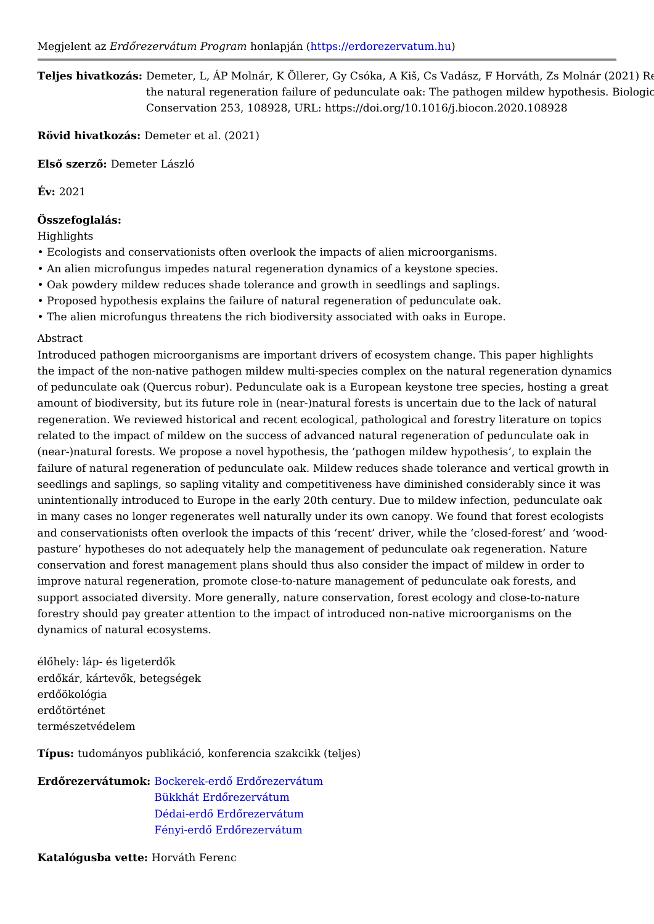Teljes hivatkozDáesmeter, L, ÁP Molnár, K Öllerer, Gy Csóka, A Kia, Cs Vadász, F H the natural regeneration failure of pedunculate oak: The pathogen Conservation 253, 108928, URL: https://doi.org/10.1016/j.biocon.20

Rövid hivatkozasmeter et al. (2021)

ElsQ szer*D*@emeter László

 $Év: 2021$ 

Összefoglalás:

Highlights

" Ecologists and conservationists often overlook the impacts of alien microorgani " An alien microfungus impedes natural regeneration dynamics of a keystone spec " Oak powdery mildew reduces shade tolerance and growth in seedlings and saplings. " Proposed hypothesis explains the failure of natural regeneration of pedunculate " The alien microfungus threatens the rich biodiversity associated with oaks in Eu

Abstract

Introduced pathogen microorganisms are important drivers of ecosystem change. the impact of the non-native pathogen mildew multi-species complex on the natural of pedunculate oak (Quercus robur). Pedunculate oak is a European keystone tree amount of biodiversity, but its future role in (near-)natural forests is uncertain de regeneration. We reviewed historical and recent ecological, pathological and fore related to the impact of mildew on the success of advanced natural regeneration of (near-)natural forests. We propose a novel hypothesis, the pathogen mildew hypo failure of natural regeneration of pedunculate oak. Mildew reduces shade tolerand seedlings and saplings, so sapling vitality and competitiveness have diminished c unintentionally introduced to Europe in the early 20th century. Due to mildew infe in many cases no longer regenerates well naturally under its own canopy. We four and conservationists often overlook the impacts of this recent driver, while the pasture hypotheses do not adequately help the management of pedunculate oak r conservation and forest management plans should thus also consider the impact o improve natural regeneration, promote close-to-nature management of pedunculat support associated diversity. More generally, nature conservation, forest ecology forestry should pay greater attention to the impact of introduced non-native micro dynamics of natural ecosystems.

élQhely: láp- és ligeterdQk erdQkár, kártevQk, betegségek erdQökológia erdQtörténet természetvédelem

Típustudományos publikáció, konferencia szakcikk (teljes)

ErdQrezervátum B b c k erek - erd Q Erd Q rezervátum [Bükkhát ErdQreze](https://erdorezervatum.hu/Bukkhat)rvátum [Dédai-erdQ ErdQrez](https://erdorezervatum.hu/Dedai-erdo)ervátum [Fényi-erdQ ErdQrez](https://erdorezervatum.hu/Fenyi-erdo)ervátum

Katalógusba vetterváth Ferenc